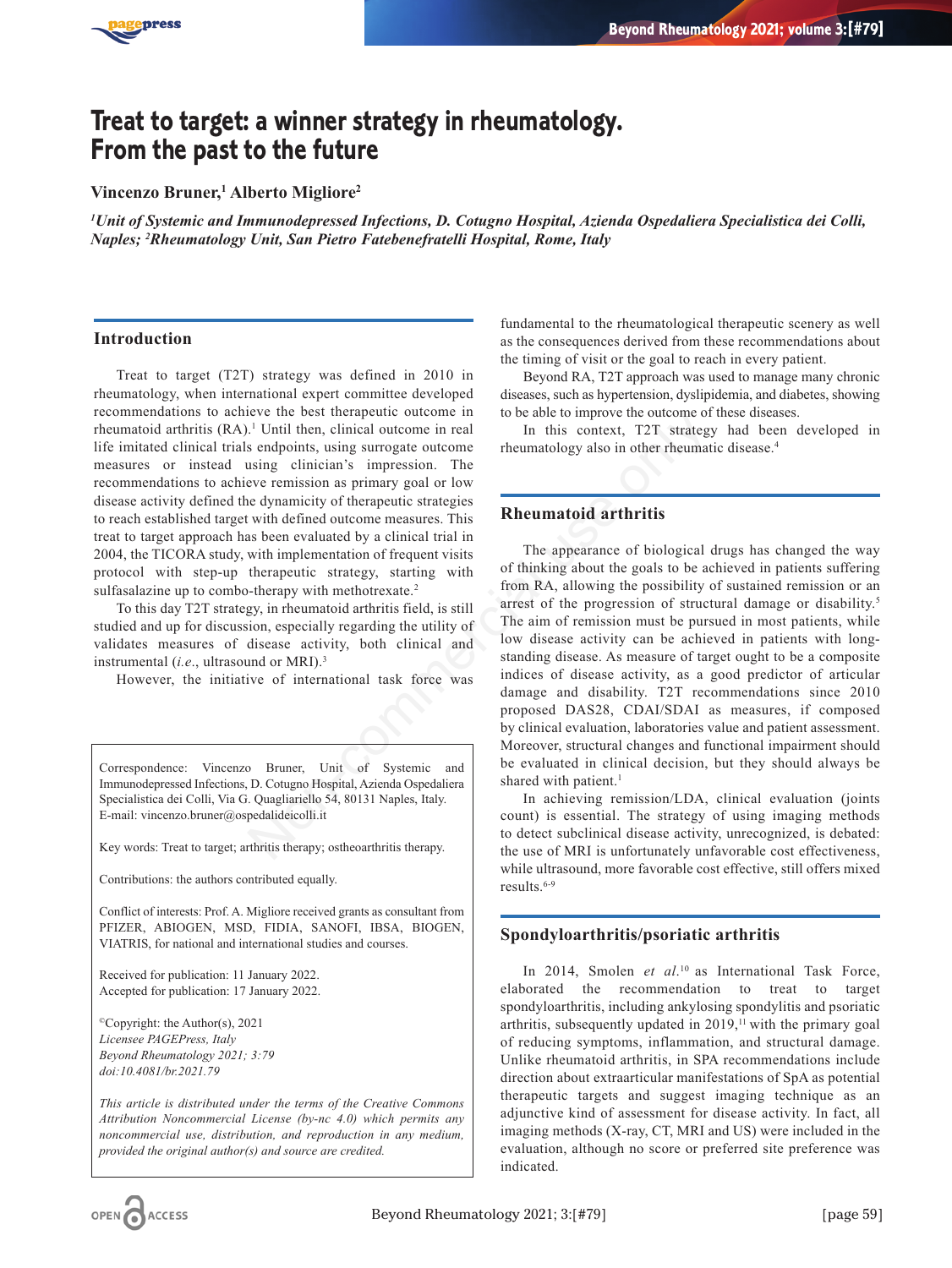

# **Treat to target: a winner strategy in rheumatology. From the past to the future**

# **Vincenzo Bruner,1 Alberto Migliore2**

*1 Unit of Systemic and Immunodepressed Infections, D. Cotugno Hospital, Azienda Ospedaliera Specialistica dei Colli, Naples; 2 Rheumatology Unit, San Pietro Fatebenefratelli Hospital, Rome, Italy*

## **Introduction**

Treat to target (T2T) strategy was defined in 2010 in rheumatology, when international expert committee developed recommendations to achieve the best therapeutic outcome in rheumatoid arthritis (RA).<sup>1</sup> Until then, clinical outcome in real life imitated clinical trials endpoints, using surrogate outcome measures or instead using clinician's impression. The recommendations to achieve remission as primary goal or low disease activity defined the dynamicity of therapeutic strategies to reach established target with defined outcome measures. This treat to target approach has been evaluated by a clinical trial in 2004, the TICORA study, with implementation of frequent visits protocol with step-up therapeutic strategy, starting with sulfasalazine up to combo-therapy with methotrexate.<sup>2</sup>

To this day T2T strategy, in rheumatoid arthritis field, is still studied and up for discussion, especially regarding the utility of validates measures of disease activity, both clinical and instrumental (*i.e*., ultrasound or MRI).3

However, the initiative of international task force was

Correspondence: Vincenzo Bruner, Unit of Systemic and Immunodepressed Infections, D. Cotugno Hospital, Azienda Ospedaliera Specialistica dei Colli, Via G. Quagliariello 54, 80131 Naples, Italy. E-mail: vincenzo.bruner@ospedalideicolli.it

Key words: Treat to target; arthritis therapy; ostheoarthritis therapy.

Contributions: the authors contributed equally.

Conflict of interests: Prof. A. Migliore received grants as consultant from PFIZER, ABIOGEN, MSD, FIDIA, SANOFI, IBSA, BIOGEN, VIATRIS, for national and international studies and courses.

Received for publication: 11 January 2022. Accepted for publication: 17 January 2022.

©Copyright: the Author(s), 2021 *Licensee PAGEPress, Italy Beyond Rheumatology 2021; 3:79 doi:10.4081/br.2021.79*

*This article is distributed under the terms of the Creative Commons Attribution Noncommercial License (by-nc 4.0) which permits any noncommercial use, distribution, and reproduction in any medium, provided the original author(s) and source are credited.*

fundamental to the rheumatological therapeutic scenery as well as the consequences derived from these recommendations about the timing of visit or the goal to reach in every patient.

Beyond RA, T2T approach was used to manage many chronic diseases, such as hypertension, dyslipidemia, and diabetes, showing to be able to improve the outcome of these diseases.

In this context, T2T strategy had been developed in rheumatology also in other rheumatic disease.4

# **Rheumatoid arthritis**

The appearance of biological drugs has changed the way of thinking about the goals to be achieved in patients suffering from RA, allowing the possibility of sustained remission or an arrest of the progression of structural damage or disability.<sup>5</sup> The aim of remission must be pursued in most patients, while low disease activity can be achieved in patients with longstanding disease. As measure of target ought to be a composite indices of disease activity, as a good predictor of articular damage and disability. T2T recommendations since 2010 proposed DAS28, CDAI/SDAI as measures, if composed by clinical evaluation, laboratories value and patient assessment. Moreover, structural changes and functional impairment should be evaluated in clinical decision, but they should always be shared with patient.<sup>1</sup> Ever the best therefore the standing disease activity, and the state of the state of the state of the state of the state of the education's impression. The edynamicity of therapeutic strategies<br>
with defined outcome measur

In achieving remission/LDA, clinical evaluation (joints count) is essential. The strategy of using imaging methods to detect subclinical disease activity, unrecognized, is debated: the use of MRI is unfortunately unfavorable cost effectiveness, while ultrasound, more favorable cost effective, still offers mixed results.<sup>6-9</sup>

# **Spondyloarthritis/psoriatic arthritis**

In 2014, Smolen *et al*. 10 as International Task Force, elaborated the recommendation to treat to target spondyloarthritis, including ankylosing spondylitis and psoriatic arthritis, subsequently updated in 2019,<sup>11</sup> with the primary goal of reducing symptoms, inflammation, and structural damage. Unlike rheumatoid arthritis, in SPA recommendations include direction about extraarticular manifestations of SpA as potential therapeutic targets and suggest imaging technique as an adjunctive kind of assessment for disease activity. In fact, all imaging methods (X-ray, CT, MRI and US) were included in the evaluation, although no score or preferred site preference was indicated.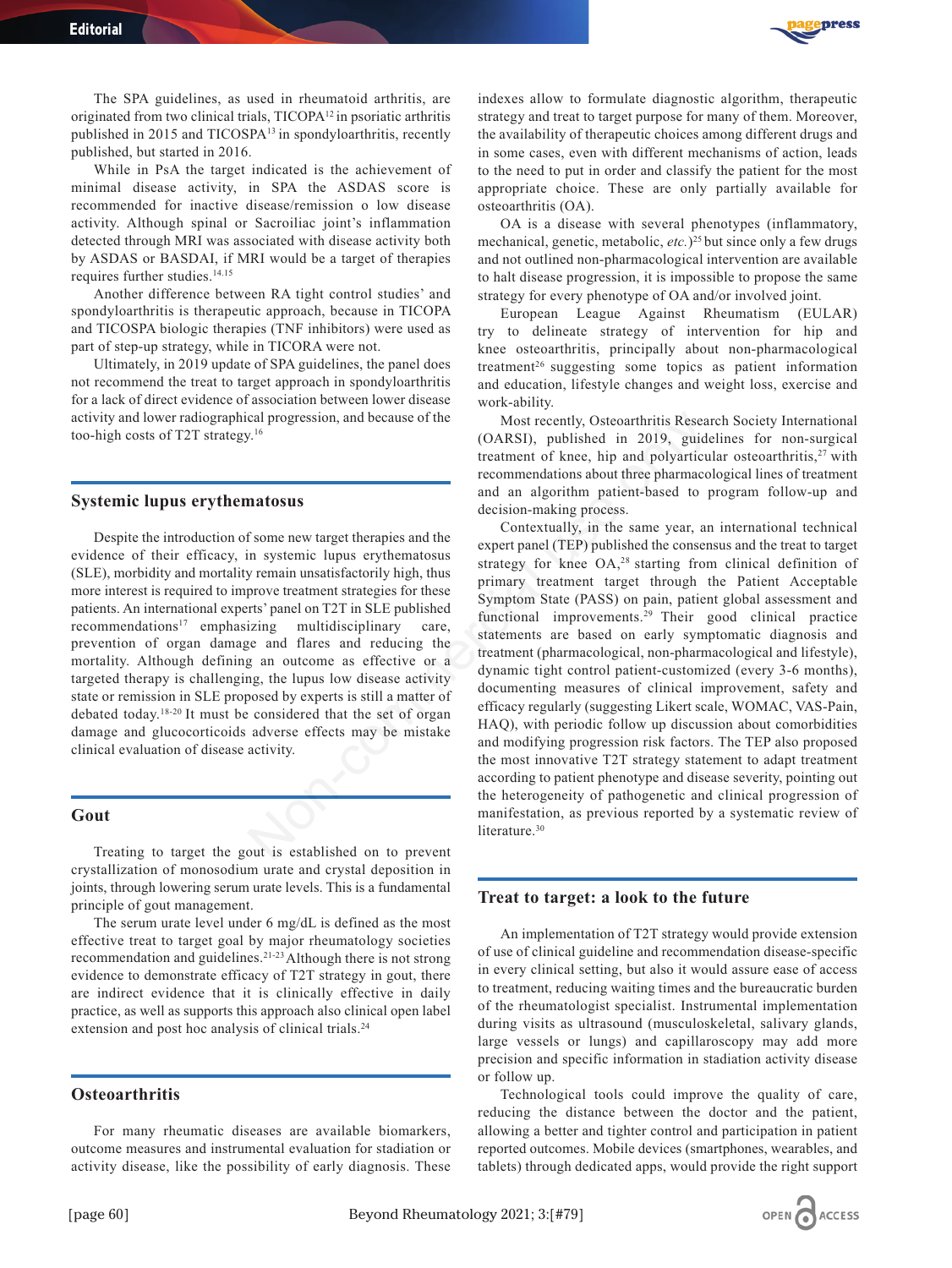

The SPA guidelines, as used in rheumatoid arthritis, are originated from two clinical trials, TICOPA12 in psoriatic arthritis published in 2015 and TICOSPA13 in spondyloarthritis, recently published, but started in 2016.

While in PsA the target indicated is the achievement of minimal disease activity, in SPA the ASDAS score is recommended for inactive disease/remission o low disease activity. Although spinal or Sacroiliac joint's inflammation detected through MRI was associated with disease activity both by ASDAS or BASDAI, if MRI would be a target of therapies requires further studies.<sup>14.15</sup>

Another difference between RA tight control studies' and spondyloarthritis is therapeutic approach, because in TICOPA and TICOSPA biologic therapies (TNF inhibitors) were used as part of step-up strategy, while in TICORA were not.

Ultimately, in 2019 update of SPA guidelines, the panel does not recommend the treat to target approach in spondyloarthritis for a lack of direct evidence of association between lower disease activity and lower radiographical progression, and because of the too-high costs of T2T strategy.16

#### **Systemic lupus erythematosus**

Despite the introduction of some new target therapies and the evidence of their efficacy, in systemic lupus erythematosus (SLE), morbidity and mortality remain unsatisfactorily high, thus more interest is required to improve treatment strategies for these patients. An international experts' panel on T2T in SLE published recommendations<sup>17</sup> emphasizing multidisciplinary care, prevention of organ damage and flares and reducing the mortality. Although defining an outcome as effective or a targeted therapy is challenging, the lupus low disease activity state or remission in SLE proposed by experts is still a matter of debated today.18-20 It must be considered that the set of organ damage and glucocorticoids adverse effects may be mistake clinical evaluation of disease activity.

#### **Gout**

Treating to target the gout is established on to prevent crystallization of monosodium urate and crystal deposition in joints, through lowering serum urate levels. This is a fundamental principle of gout management.

The serum urate level under 6 mg/dL is defined as the most effective treat to target goal by major rheumatology societies recommendation and guidelines.21-23 Although there is not strong evidence to demonstrate efficacy of T2T strategy in gout, there are indirect evidence that it is clinically effective in daily practice, as well as supports this approach also clinical open label extension and post hoc analysis of clinical trials.<sup>24</sup>

### **Osteoarthritis**

For many rheumatic diseases are available biomarkers, outcome measures and instrumental evaluation for stadiation or activity disease, like the possibility of early diagnosis. These

indexes allow to formulate diagnostic algorithm, therapeutic strategy and treat to target purpose for many of them. Moreover, the availability of therapeutic choices among different drugs and in some cases, even with different mechanisms of action, leads to the need to put in order and classify the patient for the most appropriate choice. These are only partially available for osteoarthritis (OA).

OA is a disease with several phenotypes (inflammatory, mechanical, genetic, metabolic, etc.)<sup>25</sup> but since only a few drugs and not outlined non-pharmacological intervention are available to halt disease progression, it is impossible to propose the same strategy for every phenotype of OA and/or involved joint.

European League Against Rheumatism (EULAR) try to delineate strategy of intervention for hip and knee osteoarthritis, principally about non-pharmacological treatment26 suggesting some topics as patient information and education, lifestyle changes and weight loss, exercise and work-ability.

Most recently, Osteoarthritis Research Society International (OARSI), published in 2019, guidelines for non-surgical treatment of knee, hip and polyarticular osteoarthritis, $27$  with recommendations about three pharmacological lines of treatment and an algorithm patient-based to program follow-up and decision-making process.

Contextually, in the same year, an international technical expert panel (TEP) published the consensus and the treat to target strategy for knee OA,<sup>28</sup> starting from clinical definition of primary treatment target through the Patient Acceptable Symptom State (PASS) on pain, patient global assessment and functional improvements.29 Their good clinical practice statements are based on early symptomatic diagnosis and treatment (pharmacological, non-pharmacological and lifestyle), dynamic tight control patient-customized (every 3-6 months), documenting measures of clinical improvement, safety and efficacy regularly (suggesting Likert scale, WOMAC, VAS-Pain, HAQ), with periodic follow up discussion about comorbidities and modifying progression risk factors. The TEP also proposed the most innovative T2T strategy statement to adapt treatment according to patient phenotype and disease severity, pointing out the heterogeneity of pathogenetic and clinical progression of manifestation, as previous reported by a systematic review of literature.<sup>30</sup> cal progression, and because of the<br>
(OARSI), bublished in 2019, guide<br>
treatment of knee, hip and polyarticu<br>
treatment of knee, hip and polyarticu<br>
matosus<br>
frome new target therapies and the<br>
Contextually, in the same y

## **Treat to target: a look to the future**

An implementation of T2T strategy would provide extension of use of clinical guideline and recommendation disease-specific in every clinical setting, but also it would assure ease of access to treatment, reducing waiting times and the bureaucratic burden of the rheumatologist specialist. Instrumental implementation during visits as ultrasound (musculoskeletal, salivary glands, large vessels or lungs) and capillaroscopy may add more precision and specific information in stadiation activity disease or follow up.

Technological tools could improve the quality of care, reducing the distance between the doctor and the patient, allowing a better and tighter control and participation in patient reported outcomes. Mobile devices (smartphones, wearables, and tablets) through dedicated apps, would provide the right support

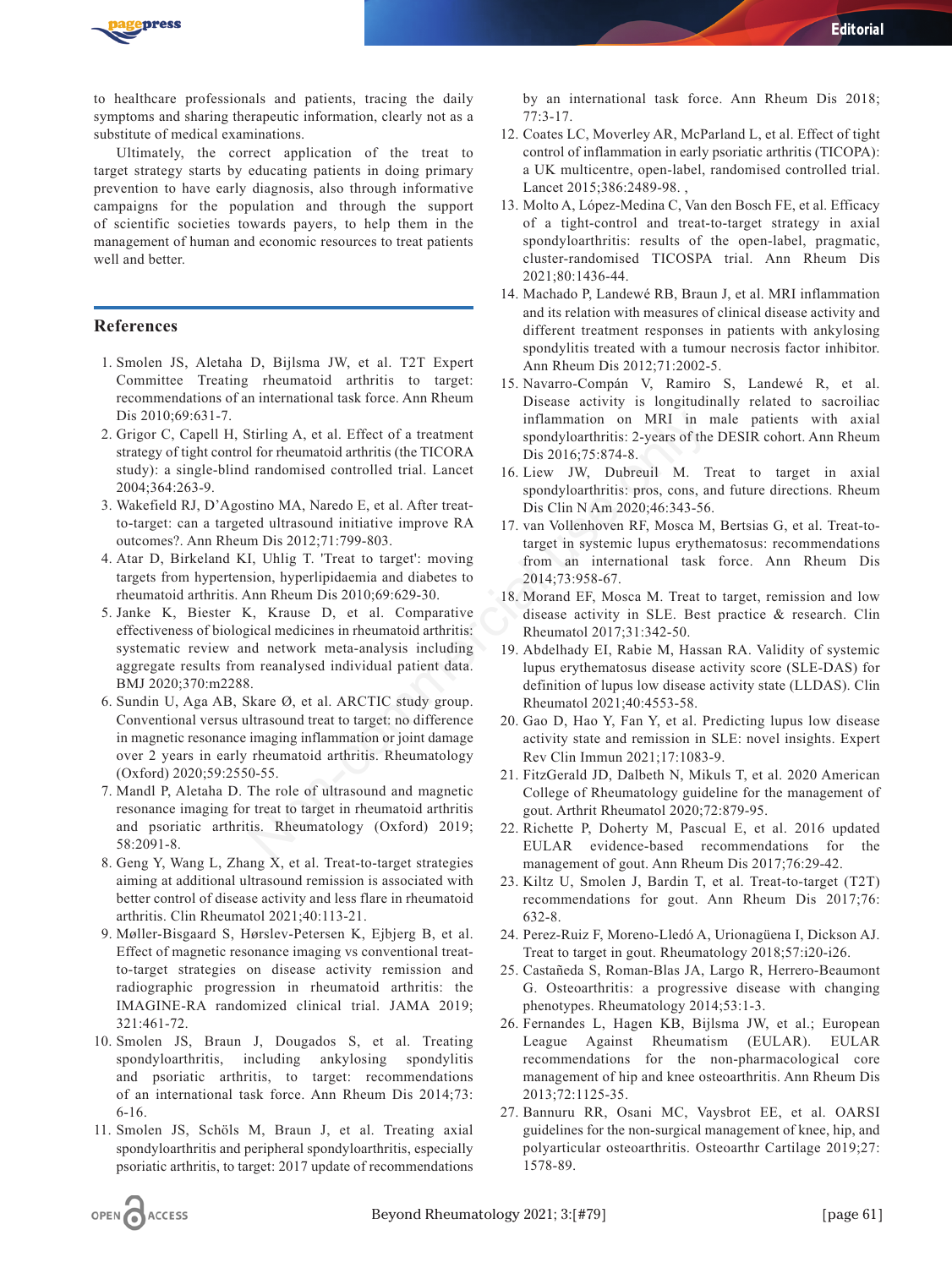

to healthcare professionals and patients, tracing the daily symptoms and sharing therapeutic information, clearly not as a substitute of medical examinations.

Ultimately, the correct application of the treat to target strategy starts by educating patients in doing primary prevention to have early diagnosis, also through informative campaigns for the population and through the support of scientific societies towards payers, to help them in the management of human and economic resources to treat patients well and better.

## **References**

- 1. Smolen JS, Aletaha D, Bijlsma JW, et al. T2T Expert Committee Treating rheumatoid arthritis to target: recommendations of an international task force. Ann Rheum Dis 2010;69:631-7.
- 2. Grigor C, Capell H, Stirling A, et al. Effect of a treatment strategy of tight control for rheumatoid arthritis (the TICORA study): a single-blind randomised controlled trial. Lancet 2004;364:263-9.
- 3. Wakefield RJ, D'Agostino MA, Naredo E, et al. After treatto-target: can a targeted ultrasound initiative improve RA outcomes?. Ann Rheum Dis 2012;71:799-803.
- 4. Atar D, Birkeland KI, Uhlig T. 'Treat to target': moving targets from hypertension, hyperlipidaemia and diabetes to rheumatoid arthritis. Ann Rheum Dis 2010;69:629-30.
- 5. Janke K, Biester K, Krause D, et al. Comparative effectiveness of biological medicines in rheumatoid arthritis: systematic review and network meta-analysis including aggregate results from reanalysed individual patient data. BMJ 2020;370:m2288.
- 6. Sundin U, Aga AB, Skare Ø, et al. ARCTIC study group. Conventional versus ultrasound treat to target: no difference in magnetic resonance imaging inflammation or joint damage over 2 years in early rheumatoid arthritis. Rheumatology (Oxford) 2020;59:2550-55. Stirling A, et al. Effect of a treatment<br>
inflammation on MRI in 1<br>
1 for rheumatoid arthritis (the TICORA<br>
1 pis 2016;75:874-8.<br>
1 randomised controlled trial. Lancet<br>
16. Liew JW, Dubreuil M. T<br>
stino MA, Naredo E, et al
- 7. Mandl P, Aletaha D. The role of ultrasound and magnetic resonance imaging for treat to target in rheumatoid arthritis and psoriatic arthritis. Rheumatology (Oxford) 2019; 58:2091-8.
- 8. Geng Y, Wang L, Zhang X, et al. Treat-to-target strategies aiming at additional ultrasound remission is associated with better control of disease activity and less flare in rheumatoid arthritis. Clin Rheumatol 2021;40:113-21.
- 9. Møller-Bisgaard S, Hørslev-Petersen K, Ejbjerg B, et al. Effect of magnetic resonance imaging vs conventional treatto-target strategies on disease activity remission and radiographic progression in rheumatoid arthritis: the IMAGINE-RA randomized clinical trial. JAMA 2019; 321:461-72.
- 10. Smolen JS, Braun J, Dougados S, et al. Treating spondyloarthritis, including ankylosing spondylitis and psoriatic arthritis, to target: recommendations of an international task force. Ann Rheum Dis 2014;73: 6-16.
- 11. Smolen JS, Schöls M, Braun J, et al. Treating axial spondyloarthritis and peripheral spondyloarthritis, especially psoriatic arthritis, to target: 2017 update of recommendations

by an international task force. Ann Rheum Dis 2018; 77:3-17.

*Editorial* 

- 12. Coates LC, Moverley AR, McParland L, et al. Effect of tight control of inflammation in early psoriatic arthritis (TICOPA): a UK multicentre, open-label, randomised controlled trial. Lancet 2015;386:2489-98. ,
- 13. Molto A, López-Medina C, Van den Bosch FE, et al. Efficacy of a tight-control and treat-to-target strategy in axial spondyloarthritis: results of the open-label, pragmatic, cluster-randomised TICOSPA trial. Ann Rheum Dis 2021;80:1436-44.
- 14. Machado P, Landewé RB, Braun J, et al. MRI inflammation and its relation with measures of clinical disease activity and different treatment responses in patients with ankylosing spondylitis treated with a tumour necrosis factor inhibitor. Ann Rheum Dis 2012;71:2002-5.
- 15. Navarro-Compán V, Ramiro S, Landewé R, et al. Disease activity is longitudinally related to sacroiliac inflammation on MRI in male patients with axial spondyloarthritis: 2-years of the DESIR cohort. Ann Rheum Dis 2016;75:874-8.
- 16. Liew JW, Dubreuil M. Treat to target in axial spondyloarthritis: pros, cons, and future directions. Rheum Dis Clin N Am 2020;46:343-56.
- 17. van Vollenhoven RF, Mosca M, Bertsias G, et al. Treat-totarget in systemic lupus erythematosus: recommendations from an international task force. Ann Rheum Dis 2014;73:958-67.
- 18. Morand EF, Mosca M. Treat to target, remission and low disease activity in SLE. Best practice & research. Clin Rheumatol 2017;31:342-50.
- 19. Abdelhady EI, Rabie M, Hassan RA. Validity of systemic lupus erythematosus disease activity score (SLE-DAS) for definition of lupus low disease activity state (LLDAS). Clin Rheumatol 2021;40:4553-58.
- 20. Gao D, Hao Y, Fan Y, et al. Predicting lupus low disease activity state and remission in SLE: novel insights. Expert Rev Clin Immun 2021;17:1083-9.
- 21. FitzGerald JD, Dalbeth N, Mikuls T, et al. 2020 American College of Rheumatology guideline for the management of gout. Arthrit Rheumatol 2020;72:879-95.
- 22. Richette P, Doherty M, Pascual E, et al. 2016 updated EULAR evidence-based recommendations for the management of gout. Ann Rheum Dis 2017;76:29-42.
- 23. Kiltz U, Smolen J, Bardin T, et al. Treat-to-target (T2T) recommendations for gout. Ann Rheum Dis 2017;76: 632-8.
- 24. Perez-Ruiz F, Moreno-Lledó A, Urionagüena I, Dickson AJ. Treat to target in gout. Rheumatology 2018;57:i20-i26.
- 25. Castañeda S, Roman-Blas JA, Largo R, Herrero-Beaumont G. Osteoarthritis: a progressive disease with changing phenotypes. Rheumatology 2014;53:1-3.
- 26. Fernandes L, Hagen KB, Bijlsma JW, et al.; European League Against Rheumatism (EULAR). EULAR recommendations for the non-pharmacological core management of hip and knee osteoarthritis. Ann Rheum Dis 2013;72:1125-35.
- 27. Bannuru RR, Osani MC, Vaysbrot EE, et al. OARSI guidelines for the non-surgical management of knee, hip, and polyarticular osteoarthritis. Osteoarthr Cartilage 2019;27: 1578-89.